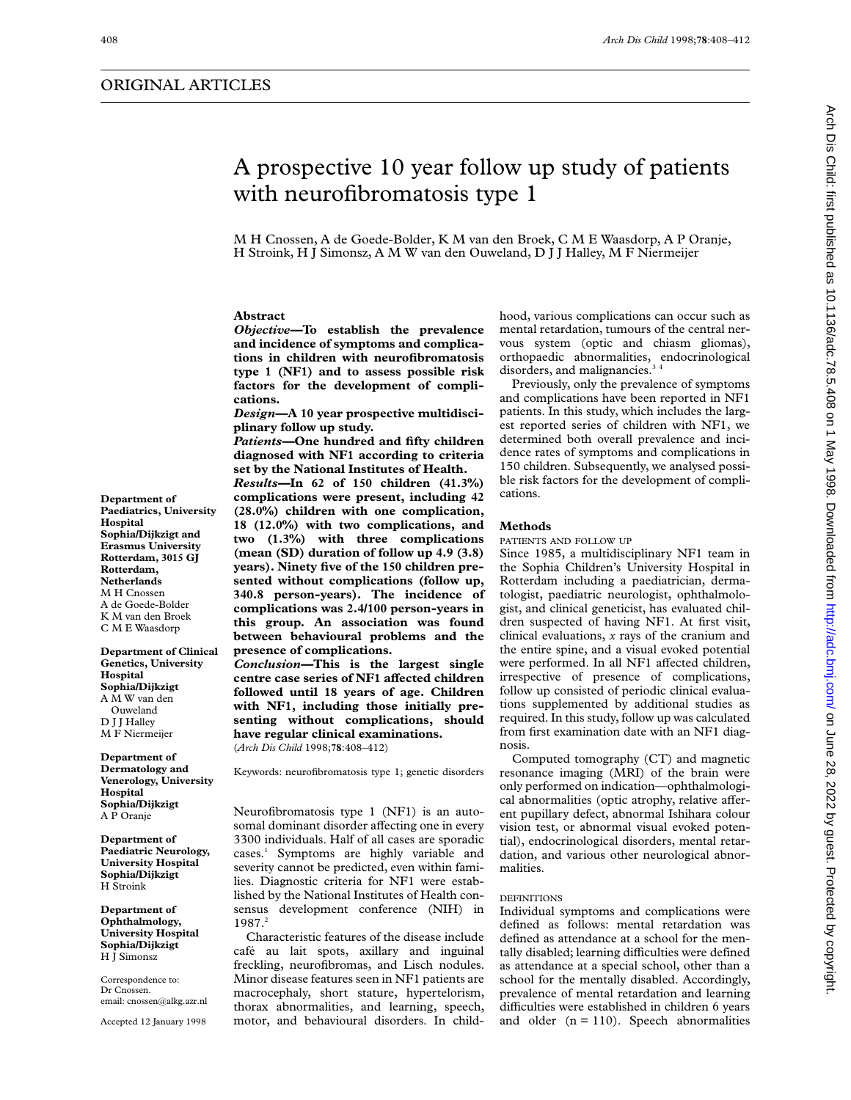# ORIGINAL ARTICLES

# Arch Dis Child: first published as 10.1136/adc.78.5.408 on 1 May 1998. Downloaded from http://adc.bmj.com/ on June 28, 2022 by guest. Protected by copyright on June 28, 2022 by guest Protected by guests and the 10.114 published as 2022 by Guest and the Hubished as 2022 by copyright. First published as 2022 by First published as 2022 by First published as 2022 by First publishe

# A prospective 10 year follow up study of patients with neurofibromatosis type 1

M H Cnossen, A de Goede-Bolder, K M van den Broek, CMEWaasdorp, A P Oranje, H Stroink, H J Simonsz, A M W van den Ouweland, D J J Halley, M F Niermeijer

# **Abstract**

*Objective—***To establish the prevalence and incidence of symptoms and complications in children with neurofibromatosis type 1 (NF1) and to assess possible risk factors for the development of complications.**

*Design—***A 10 year prospective multidisciplinary follow up study.**

*Patients—***One hundred and fifty children diagnosed with NF1 according to criteria set by the National Institutes of Health.**

*Results—***In 62 of 150 children (41.3%) complications were present, including 42 (28.0%) children with one complication, 18 (12.0%) with two complications, and two (1.3%) with three complications (mean (SD) duration of follow up 4.9 (3.8) years). Ninety five of the 150 children presented without complications (follow up, 340.8 person-years). The incidence of complications was 2.4/100 person-years in this group. An association was found between behavioural problems and the presence of complications.**

*Conclusion—***This is the largest single centre case series of NF1 aVected children followed until 18 years of age. Children with NF1, including those initially presenting without complications, should have regular clinical examinations.** (*Arch Dis Child* 1998;**78**:408–412)

Keywords: neurofibromatosis type 1; genetic disorders

Neurofibromatosis type 1 (NF1) is an autosomal dominant disorder affecting one in every 3300 individuals. Half of all cases are sporadic cases.1 Symptoms are highly variable and severity cannot be predicted, even within families. Diagnostic criteria for NF1 were established by the National Institutes of Health consensus development conference (NIH) in 1987.<sup>2</sup>

Characteristic features of the disease include café au lait spots, axillary and inguinal freckling, neurofibromas, and Lisch nodules. Minor disease features seen in NF1 patients are macrocephaly, short stature, hypertelorism, thorax abnormalities, and learning, speech, motor, and behavioural disorders. In child-

hood, various complications can occur such as mental retardation, tumours of the central nervous system (optic and chiasm gliomas), orthopaedic abnormalities, endocrinological disorders, and malignancies.<sup>34</sup>

Previously, only the prevalence of symptoms and complications have been reported in NF1 patients. In this study, which includes the largest reported series of children with NF1, we determined both overall prevalence and incidence rates of symptoms and complications in 150 children. Subsequently, we analysed possible risk factors for the development of complications.

# **Methods**

PATIENTS AND FOLLOW UP

Since 1985, a multidisciplinary NF1 team in the Sophia Children's University Hospital in Rotterdam including a paediatrician, dermatologist, paediatric neurologist, ophthalmologist, and clinical geneticist, has evaluated children suspected of having NF1. At first visit, clinical evaluations, *x* rays of the cranium and the entire spine, and a visual evoked potential were performed. In all NF1 affected children, irrespective of presence of complications, follow up consisted of periodic clinical evaluations supplemented by additional studies as required. In this study, follow up was calculated from first examination date with an NF1 diagnosis.

Computed tomography (CT) and magnetic resonance imaging (MRI) of the brain were only performed on indication—ophthalmological abnormalities (optic atrophy, relative afferent pupillary defect, abnormal Ishihara colour vision test, or abnormal visual evoked potential), endocrinological disorders, mental retardation, and various other neurological abnormalities.

### DEFINITIONS

Individual symptoms and complications were defined as follows: mental retardation was defined as attendance at a school for the mentally disabled; learning difficulties were defined as attendance at a special school, other than a school for the mentally disabled. Accordingly, prevalence of mental retardation and learning difficulties were established in children 6 years and older  $(n = 110)$ . Speech abnormalities

**Department of Paediatrics, University Hospital Sophia/Dijkzigt and Erasmus University Rotterdam, 3015 GJ Rotterdam, Netherlands** M H Cnossen A de Goede-Bolder K M van den Broek CMEWaasdorp

**Department of Clinical Genetics, University Hospital Sophia/Dijkzigt** A M W van den Ouweland D J J Halley M F Niermeijer

### **Department of Dermatology and Venerology, University Hospital Sophia/Dijkzigt** A P Oranje

**Department of Paediatric Neurology, University Hospital Sophia/Dijkzigt** H Stroink

**Department of Ophthalmology, University Hospital Sophia/Dijkzigt** H J Simonsz

Correspondence to: Dr Cnossen. email: cnossen@alkg.azr.nl

Accepted 12 January 1998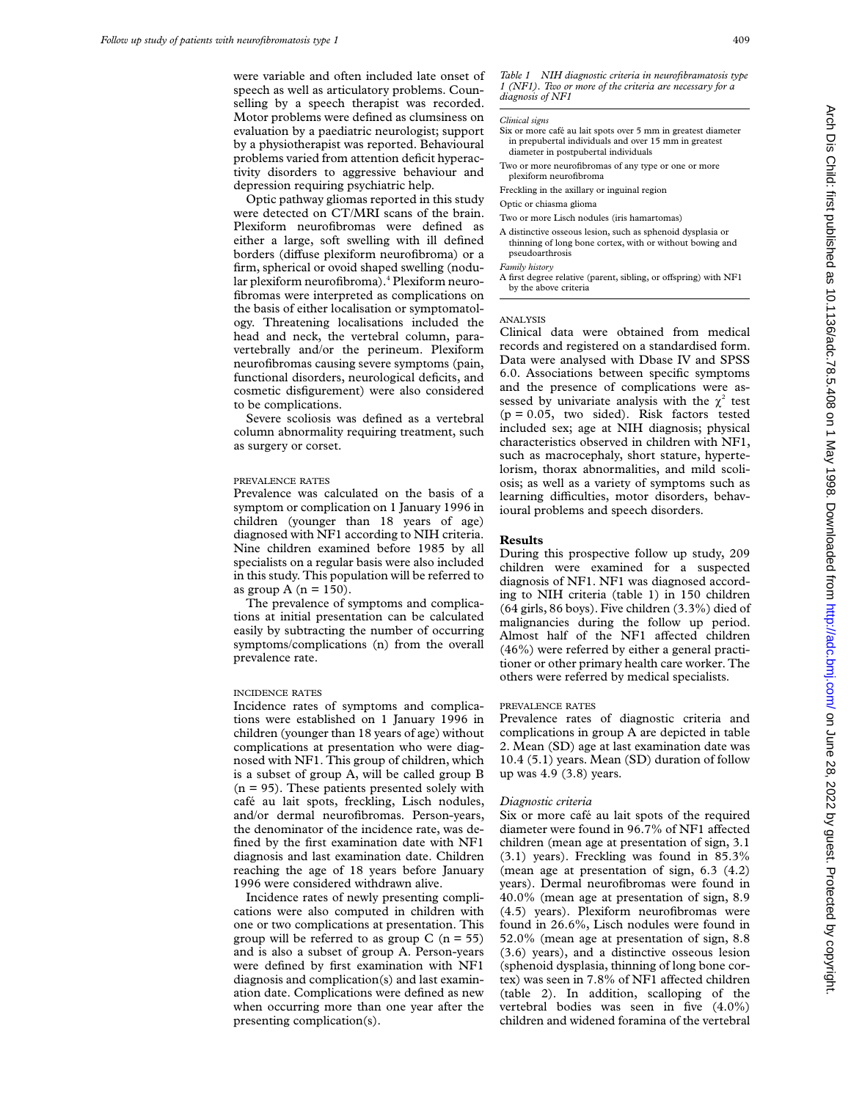were variable and often included late onset of speech as well as articulatory problems. Counselling by a speech therapist was recorded. Motor problems were defined as clumsiness on evaluation by a paediatric neurologist; support by a physiotherapist was reported. Behavioural problems varied from attention deficit hyperactivity disorders to aggressive behaviour and depression requiring psychiatric help.

Optic pathway gliomas reported in this study were detected on CT/MRI scans of the brain. Plexiform neurofibromas were defined as either a large, soft swelling with ill defined borders (diffuse plexiform neurofibroma) or a firm, spherical or ovoid shaped swelling (nodular plexiform neurofibroma).<sup>4</sup> Plexiform neurofibromas were interpreted as complications on the basis of either localisation or symptomatology. Threatening localisations included the head and neck, the vertebral column, paravertebrally and/or the perineum. Plexiform neurofibromas causing severe symptoms (pain, functional disorders, neurological deficits, and cosmetic disfigurement) were also considered to be complications.

Severe scoliosis was defined as a vertebral column abnormality requiring treatment, such as surgery or corset.

# PREVALENCE RATES

Prevalence was calculated on the basis of a symptom or complication on 1 January 1996 in children (younger than 18 years of age) diagnosed with NF1 according to NIH criteria. Nine children examined before 1985 by all specialists on a regular basis were also included in this study. This population will be referred to as group A ( $n = 150$ ).

The prevalence of symptoms and complications at initial presentation can be calculated easily by subtracting the number of occurring symptoms/complications (n) from the overall prevalence rate.

### INCIDENCE RATES

Incidence rates of symptoms and complications were established on 1 January 1996 in children (younger than 18 years of age) without complications at presentation who were diagnosed with NF1. This group of children, which is a subset of group A, will be called group B  $(n = 95)$ . These patients presented solely with café au lait spots, freckling, Lisch nodules, and/or dermal neurofibromas. Person-years, the denominator of the incidence rate, was defined by the first examination date with NF1 diagnosis and last examination date. Children reaching the age of 18 years before January 1996 were considered withdrawn alive.

Incidence rates of newly presenting complications were also computed in children with one or two complications at presentation. This group will be referred to as group  $C$  (n = 55) and is also a subset of group A. Person-years were defined by first examination with NF1 diagnosis and complication(s) and last examination date. Complications were defined as new when occurring more than one year after the presenting complication(s).

*Table 1 NIH diagnostic criteria in neurofibramatosis type 1 (NF1). Two or more of the criteria are necessary for a diagnosis of NF1*

### *Clinical signs*

- Six or more café au lait spots over 5 mm in greatest diameter in prepubertal individuals and over 15 mm in greatest diameter in postpubertal individuals
- Two or more neurofibromas of any type or one or more plexiform neurofibroma
- Freckling in the axillary or inguinal region

Optic or chiasma glioma

Two or more Lisch nodules (iris hamartomas)

A distinctive osseous lesion, such as sphenoid dysplasia or thinning of long bone cortex, with or without bowing and pseudoarthrosis

*Family history*

A first degree relative (parent, sibling, or offspring) with NF1 by the above criteria

# ANALYSIS

Clinical data were obtained from medical records and registered on a standardised form. Data were analysed with Dbase IV and SPSS 6.0. Associations between specific symptoms and the presence of complications were assessed by univariate analysis with the  $\chi^2$  test  $(p = 0.05,$  two sided). Risk factors tested included sex; age at NIH diagnosis; physical characteristics observed in children with NF1, such as macrocephaly, short stature, hypertelorism, thorax abnormalities, and mild scoliosis; as well as a variety of symptoms such as learning difficulties, motor disorders, behavioural problems and speech disorders.

# **Results**

During this prospective follow up study, 209 children were examined for a suspected diagnosis of NF1. NF1 was diagnosed according to NIH criteria (table 1) in 150 children (64 girls, 86 boys). Five children (3.3%) died of malignancies during the follow up period. Almost half of the NF1 affected children (46%) were referred by either a general practitioner or other primary health care worker. The others were referred by medical specialists.

### PREVALENCE RATES

Prevalence rates of diagnostic criteria and complications in group A are depicted in table 2. Mean (SD) age at last examination date was 10.4 (5.1) years. Mean (SD) duration of follow up was 4.9 (3.8) years.

# *Diagnostic criteria*

Six or more café au lait spots of the required diameter were found in 96.7% of NF1 affected children (mean age at presentation of sign, 3.1 (3.1) years). Freckling was found in 85.3% (mean age at presentation of sign, 6.3 (4.2) years). Dermal neurofibromas were found in 40.0% (mean age at presentation of sign, 8.9 (4.5) years). Plexiform neurofibromas were found in 26.6%, Lisch nodules were found in 52.0% (mean age at presentation of sign, 8.8 (3.6) years), and a distinctive osseous lesion (sphenoid dysplasia, thinning of long bone cortex) was seen in 7.8% of NF1 affected children (table 2). In addition, scalloping of the vertebral bodies was seen in five (4.0%) children and widened foramina of the vertebral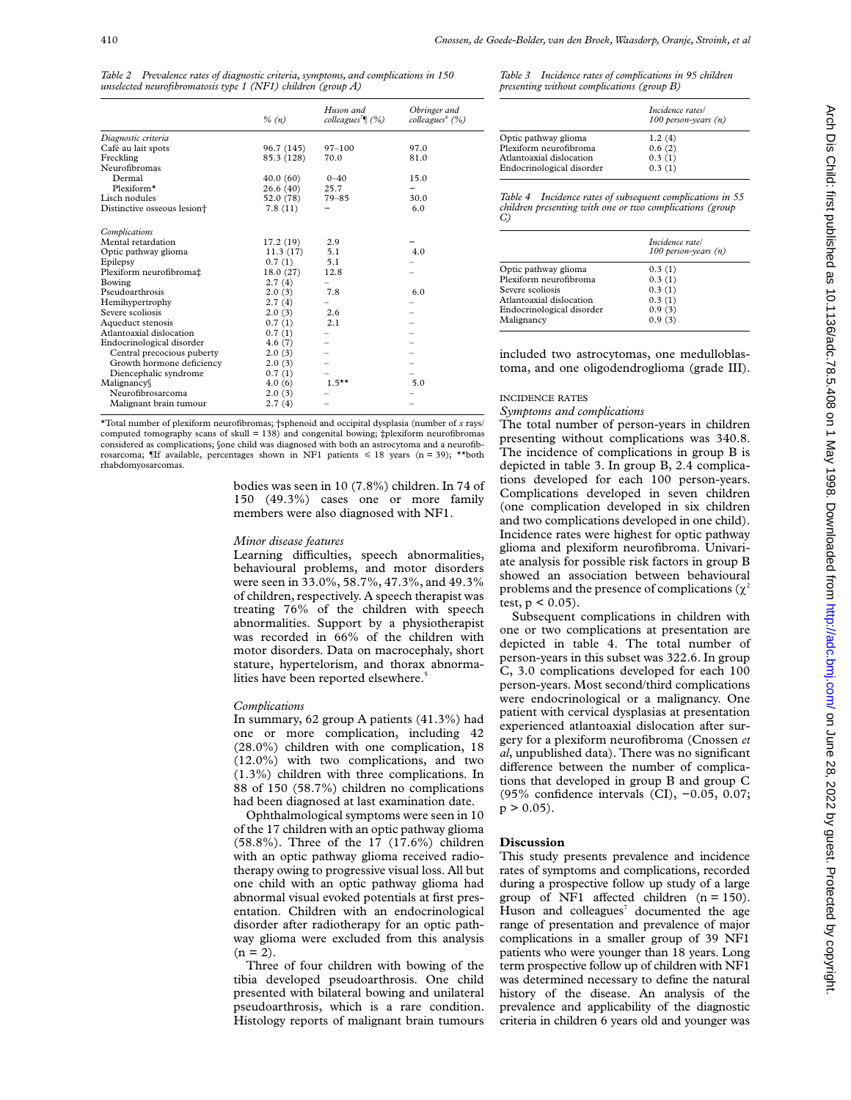|                                         | $\%$ (n)   | Huson and<br>colleagues <sup>7</sup> (%) | Obringer and<br>colleagues <sup>6</sup> (%) |
|-----------------------------------------|------------|------------------------------------------|---------------------------------------------|
| Diagnostic criteria                     |            |                                          |                                             |
| Café au lait spots                      | 96.7 (145) | $97 - 100$                               | 97.0                                        |
| Freckling                               | 85.3 (128) | 70.0                                     | 81.0                                        |
| Neurofibromas                           |            |                                          |                                             |
| Dermal                                  | 40.0(60)   | $0 - 40$                                 | 15.0                                        |
| Plexiform*                              | 26.6(40)   | 25.7                                     |                                             |
| Lisch nodules                           | 52.0 (78)  | $79 - 85$                                | 30.0                                        |
| Distinctive osseous lesion <sup>+</sup> | 7.8(11)    |                                          | 6.0                                         |
| Complications                           |            |                                          |                                             |
| Mental retardation                      | 17.2(19)   | 2.9                                      |                                             |
| Optic pathway glioma                    | 11.3(17)   | 5.1                                      | 4.0                                         |
| Epilepsy                                | 0.7(1)     | 5.1                                      |                                             |
| Plexiform neurofibroma‡                 | 18.0(27)   | 12.8                                     |                                             |
| Bowing                                  | 2.7(4)     |                                          |                                             |
| Pseudoarthrosis                         | 2.0(3)     | 7.8                                      | 6.0                                         |
| Hemihypertrophy                         | 2.7(4)     |                                          |                                             |
| Severe scoliosis                        | 2.0(3)     | 2.6                                      |                                             |
| Aqueduct stenosis                       | 0.7(1)     | 2.1                                      |                                             |
| Atlantoaxial dislocation                | 0.7(1)     |                                          |                                             |
| Endocrinological disorder               | 4.6(7)     |                                          |                                             |
| Central precocious puberty              | 2.0(3)     |                                          |                                             |
| Growth hormone deficiency               | 2.0(3)     |                                          |                                             |
| Diencephalic syndrome                   | 0.7(1)     |                                          |                                             |
| Malignancy                              | 4.0(6)     | $1.5***$                                 | 5.0                                         |
| Neurofibrosarcoma                       | 2.0(3)     |                                          |                                             |
| Malignant brain tumour                  | 2.7(4)     |                                          |                                             |
|                                         |            |                                          |                                             |

*Table 2 Prevalence rates of diagnostic criteria, symptoms, and complications in 150 unselected neurofibromatosis type 1 (NF1) children (group A)*

\*Total number of plexiform neurofibromas; †sphenoid and occipital dysplasia (number of *x* rays/ computed tomography scans of skull  $= 138$ ) and congenital bowing;  $\pm$ plexiform neurofibromas considered as complications; §one child was diagnosed with both an astrocytoma and a neurofibrosarcoma; ¶If available, percentages shown in NF1 patients  $\leq 18$  years (n = 39); \*\* rhabdomyosarcomas.

> bodies was seen in 10 (7.8%) children. In 74 of 150 (49.3%) cases one or more family members were also diagnosed with NF1.

### *Minor disease features*

Learning difficulties, speech abnormalities, behavioural problems, and motor disorders were seen in 33.0%, 58.7%, 47.3%, and 49.3% of children, respectively. A speech therapist was treating 76% of the children with speech abnormalities. Support by a physiotherapist was recorded in 66% of the children with motor disorders. Data on macrocephaly, short stature, hypertelorism, and thorax abnormalities have been reported elsewhere.<sup>5</sup>

### *Complications*

In summary, 62 group A patients (41.3%) had one or more complication, including 42 (28.0%) children with one complication, 18 (12.0%) with two complications, and two (1.3%) children with three complications. In 88 of 150 (58.7%) children no complications had been diagnosed at last examination date.

Ophthalmological symptoms were seen in 10 of the 17 children with an optic pathway glioma (58.8%). Three of the 17 (17.6%) children with an optic pathway glioma received radiotherapy owing to progressive visual loss. All but one child with an optic pathway glioma had abnormal visual evoked potentials at first presentation. Children with an endocrinological disorder after radiotherapy for an optic pathway glioma were excluded from this analysis  $(n = 2)$ .

Three of four children with bowing of the tibia developed pseudoarthrosis. One child presented with bilateral bowing and unilateral pseudoarthrosis, which is a rare condition. Histology reports of malignant brain tumours

*Table 3 Incidence rates of complications in 95 children presenting without complications (group B)*

|                           | Incidence rates/<br>100 person-years $(n)$ |
|---------------------------|--------------------------------------------|
| Optic pathway glioma      | 1.2(4)                                     |
| Plexiform neurofibroma    | 0.6(2)                                     |
| Atlantoaxial dislocation  | 0.3(1)                                     |
| Endocrinological disorder | 0.3(1)                                     |

*Table 4 Incidence rates of subsequent complications in 55 children presenting with one or two complications (group C)*

|                           | Incidence rate/<br>100 person-years $(n)$ |
|---------------------------|-------------------------------------------|
| Optic pathway glioma      | 0.3(1)                                    |
| Plexiform neurofibroma    | 0.3(1)                                    |
| Severe scoliosis          | 0.3(1)                                    |
| Atlantoaxial dislocation  | 0.3(1)                                    |
| Endocrinological disorder | 0.9(3)                                    |
| Malignancy                | 0.9(3)                                    |

included two astrocytomas, one medulloblastoma, and one oligodendroglioma (grade III).

### INCIDENCE RATES

*Symptoms and complications*

The total number of person-years in children presenting without complications was 340.8. The incidence of complications in group B is depicted in table 3. In group B, 2.4 complications developed for each 100 person-years. Complications developed in seven children (one complication developed in six children and two complications developed in one child). Incidence rates were highest for optic pathway glioma and plexiform neurofibroma. Univariate analysis for possible risk factors in group B showed an association between behavioural problems and the presence of complications  $(\chi^2)$ test,  $p < 0.05$ ).

Subsequent complications in children with one or two complications at presentation are depicted in table 4. The total number of person-years in this subset was 322.6. In group C, 3.0 complications developed for each 100 person-years. Most second/third complications were endocrinological or a malignancy. One patient with cervical dysplasias at presentation experienced atlantoaxial dislocation after surgery for a plexiform neurofibroma (Cnossen *et al*, unpublished data). There was no significant difference between the number of complications that developed in group B and group C (95% confidence intervals (CI), −0.05, 0.07;  $p > 0.05$ ).

### **Discussion**

This study presents prevalence and incidence rates of symptoms and complications, recorded during a prospective follow up study of a large group of NF1 affected children  $(n = 150)$ . Huson and colleagues $\theta$  documented the age range of presentation and prevalence of major complications in a smaller group of 39 NF1 patients who were younger than 18 years. Long term prospective follow up of children with NF1 was determined necessary to define the natural history of the disease. An analysis of the prevalence and applicability of the diagnostic criteria in children 6 years old and younger was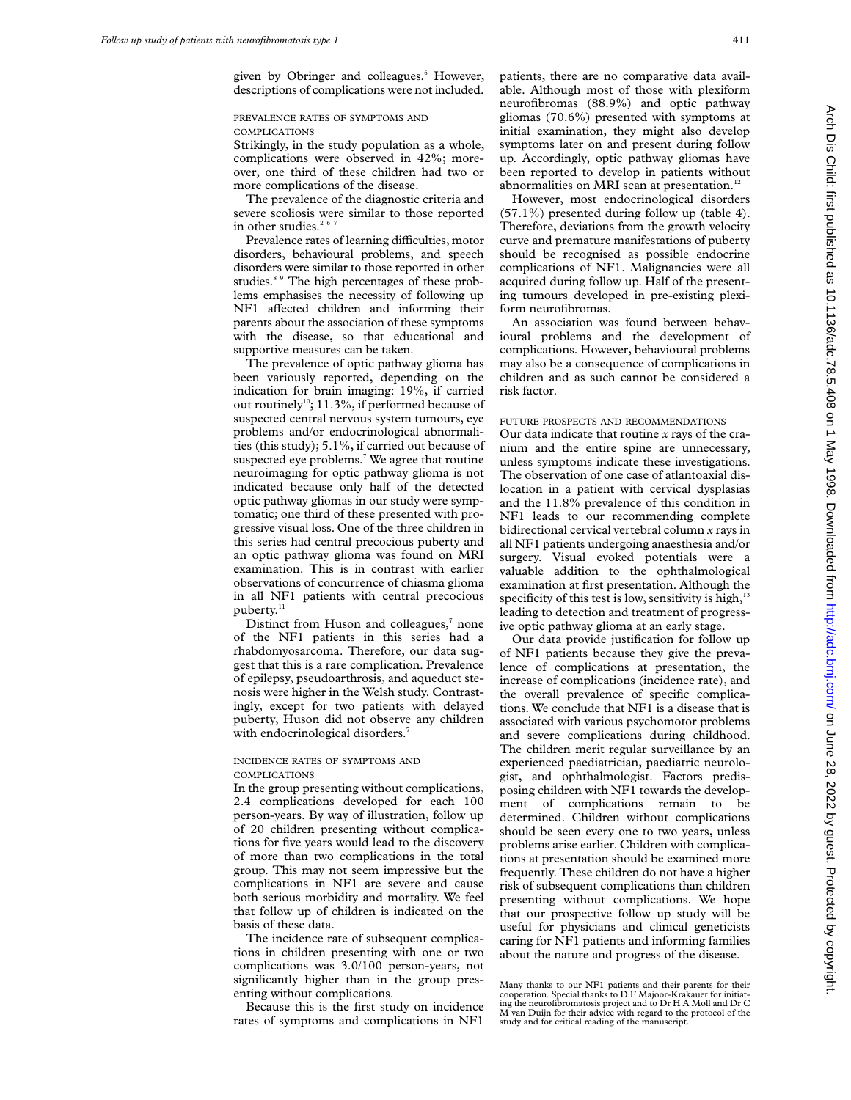given by Obringer and colleagues.<sup>6</sup> However, descriptions of complications were not included.

# PREVALENCE RATES OF SYMPTOMS AND COMPLICATIONS

Strikingly, in the study population as a whole, complications were observed in 42%; moreover, one third of these children had two or more complications of the disease.

The prevalence of the diagnostic criteria and severe scoliosis were similar to those reported in other studies. $2<sup>6</sup>$ 

Prevalence rates of learning difficulties, motor disorders, behavioural problems, and speech disorders were similar to those reported in other studies.<sup>8 9</sup> The high percentages of these problems emphasises the necessity of following up NF1 affected children and informing their parents about the association of these symptoms with the disease, so that educational and supportive measures can be taken.

The prevalence of optic pathway glioma has been variously reported, depending on the indication for brain imaging: 19%, if carried out routinely<sup>10</sup>; 11.3%, if performed because of suspected central nervous system tumours, eye problems and/or endocrinological abnormalities (this study); 5.1%, if carried out because of suspected eye problems.<sup>7</sup> We agree that routine neuroimaging for optic pathway glioma is not indicated because only half of the detected optic pathway gliomas in our study were symptomatic; one third of these presented with progressive visual loss. One of the three children in this series had central precocious puberty and an optic pathway glioma was found on MRI examination. This is in contrast with earlier observations of concurrence of chiasma glioma in all NF1 patients with central precocious puberty.<sup>11</sup>

Distinct from Huson and colleagues,<sup>7</sup> none of the NF1 patients in this series had a rhabdomyosarcoma. Therefore, our data suggest that this is a rare complication. Prevalence of epilepsy, pseudoarthrosis, and aqueduct stenosis were higher in the Welsh study. Contrastingly, except for two patients with delayed puberty, Huson did not observe any children with endocrinological disorders.<sup>7</sup>

# INCIDENCE RATES OF SYMPTOMS AND **COMPLICATIONS**

In the group presenting without complications, 2.4 complications developed for each 100 person-years. By way of illustration, follow up of 20 children presenting without complications for five years would lead to the discovery of more than two complications in the total group. This may not seem impressive but the complications in NF1 are severe and cause both serious morbidity and mortality. We feel that follow up of children is indicated on the basis of these data.

The incidence rate of subsequent complications in children presenting with one or two complications was 3.0/100 person-years, not significantly higher than in the group presenting without complications.

Because this is the first study on incidence rates of symptoms and complications in NF1 patients, there are no comparative data available. Although most of those with plexiform neurofibromas (88.9%) and optic pathway gliomas (70.6%) presented with symptoms at initial examination, they might also develop symptoms later on and present during follow up. Accordingly, optic pathway gliomas have been reported to develop in patients without abnormalities on MRI scan at presentation.<sup>12</sup>

However, most endocrinological disorders (57.1%) presented during follow up (table 4). Therefore, deviations from the growth velocity curve and premature manifestations of puberty should be recognised as possible endocrine complications of NF1. Malignancies were all acquired during follow up. Half of the presenting tumours developed in pre-existing plexiform neurofibromas.

An association was found between behavioural problems and the development of complications. However, behavioural problems may also be a consequence of complications in children and as such cannot be considered a risk factor.

# FUTURE PROSPECTS AND RECOMMENDATIONS

Our data indicate that routine *x* rays of the cranium and the entire spine are unnecessary, unless symptoms indicate these investigations. The observation of one case of atlantoaxial dislocation in a patient with cervical dysplasias and the 11.8% prevalence of this condition in NF1 leads to our recommending complete bidirectional cervical vertebral column *x* rays in all NF1 patients undergoing anaesthesia and/or surgery. Visual evoked potentials were a valuable addition to the ophthalmological examination at first presentation. Although the specificity of this test is low, sensitivity is high,<sup>13</sup> leading to detection and treatment of progressive optic pathway glioma at an early stage.

Our data provide justification for follow up of NF1 patients because they give the prevalence of complications at presentation, the increase of complications (incidence rate), and the overall prevalence of specific complications. We conclude that NF1 is a disease that is associated with various psychomotor problems and severe complications during childhood. The children merit regular surveillance by an experienced paediatrician, paediatric neurologist, and ophthalmologist. Factors predisposing children with NF1 towards the development of complications remain to be determined. Children without complications should be seen every one to two years, unless problems arise earlier. Children with complications at presentation should be examined more frequently. These children do not have a higher risk of subsequent complications than children presenting without complications. We hope that our prospective follow up study will be useful for physicians and clinical geneticists caring for NF1 patients and informing families about the nature and progress of the disease.

Many thanks to our NF1 patients and their parents for their<br>cooperation. Special thanks to D F Majoor-Krakauer for initiat-<br>ing the neurofibromatosis project and to Dr H A Moll and Dr C<br>M van Duijn for their advice with re study and for critical reading of the manuscript.